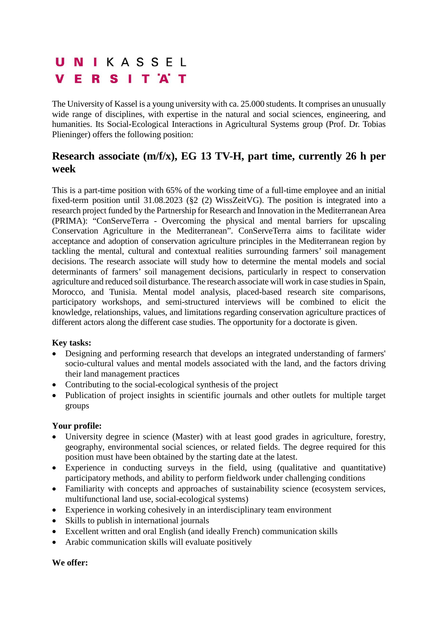# UNIKASSEL **VERSITAT**

The University of Kassel is a young university with ca. 25.000 students. It comprises an unusually wide range of disciplines, with expertise in the natural and social sciences, engineering, and humanities. Its Social-Ecological Interactions in Agricultural Systems group (Prof. Dr. Tobias Plieninger) offers the following position:

## **Research associate (m/f/x), EG 13 TV-H, part time, currently 26 h per week**

This is a part-time position with 65% of the working time of a full-time employee and an initial fixed-term position until 31.08.2023 (§2 (2) WissZeitVG). The position is integrated into a research project funded by the Partnership for Research and Innovation in the Mediterranean Area (PRIMA): "ConServeTerra - Overcoming the physical and mental barriers for upscaling Conservation Agriculture in the Mediterranean". ConServeTerra aims to facilitate wider acceptance and adoption of conservation agriculture principles in the Mediterranean region by tackling the mental, cultural and contextual realities surrounding farmers' soil management decisions. The research associate will study how to determine the mental models and social determinants of farmers' soil management decisions, particularly in respect to conservation agriculture and reduced soil disturbance. The research associate will work in case studies in Spain, Morocco, and Tunisia. Mental model analysis, placed-based research site comparisons, participatory workshops, and semi-structured interviews will be combined to elicit the knowledge, relationships, values, and limitations regarding conservation agriculture practices of different actors along the different case studies. The opportunity for a doctorate is given.

### **Key tasks:**

- Designing and performing research that develops an integrated understanding of farmers' socio-cultural values and mental models associated with the land, and the factors driving their land management practices
- Contributing to the social-ecological synthesis of the project
- Publication of project insights in scientific journals and other outlets for multiple target groups

### **Your profile:**

- University degree in science (Master) with at least good grades in agriculture, forestry, geography, environmental social sciences, or related fields. The degree required for this position must have been obtained by the starting date at the latest.
- Experience in conducting surveys in the field, using (qualitative and quantitative) participatory methods, and ability to perform fieldwork under challenging conditions
- Familiarity with concepts and approaches of sustainability science (ecosystem services, multifunctional land use, social-ecological systems)
- Experience in working cohesively in an interdisciplinary team environment
- Skills to publish in international journals
- Excellent written and oral English (and ideally French) communication skills
- Arabic communication skills will evaluate positively

### **We offer:**